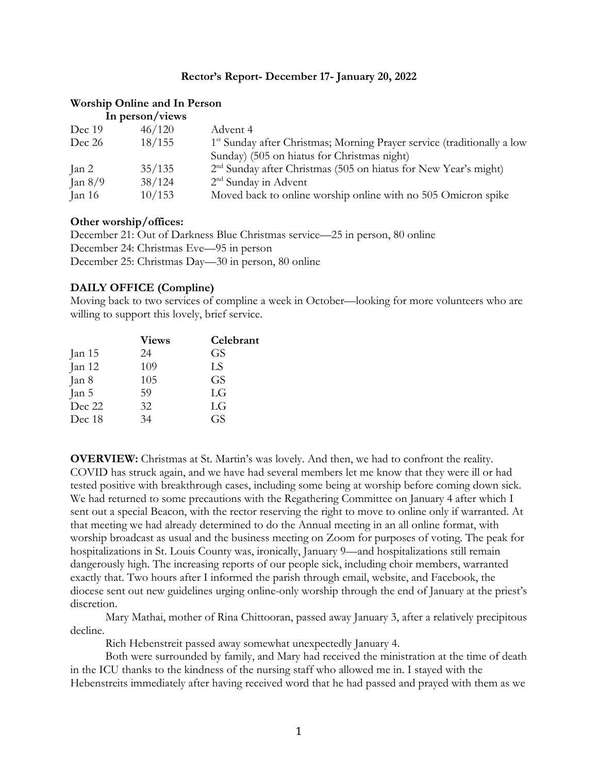#### **Rector's Report- December 17- January 20, 2022**

#### **Worship Online and In Person**

| In person/views |        |                                                                                     |  |
|-----------------|--------|-------------------------------------------------------------------------------------|--|
| Dec 19          | 46/120 | Advent 4                                                                            |  |
| Dec 26          | 18/155 | 1 <sup>st</sup> Sunday after Christmas; Morning Prayer service (traditionally a low |  |
|                 |        | Sunday) (505 on hiatus for Christmas night)                                         |  |
| $\tan 2$        | 35/135 | 2 <sup>nd</sup> Sunday after Christmas (505 on hiatus for New Year's might)         |  |
| Jan $8/9$       | 38/124 | $2nd$ Sunday in Advent                                                              |  |
| Jan 16          | 10/153 | Moved back to online worship online with no 505 Omicron spike                       |  |

#### **Other worship/offices:**

December 21: Out of Darkness Blue Christmas service—25 in person, 80 online December 24: Christmas Eve—95 in person December 25: Christmas Day—30 in person, 80 online

#### **DAILY OFFICE (Compline)**

Moving back to two services of compline a week in October—looking for more volunteers who are willing to support this lovely, brief service.

|        | <b>Views</b> | Celebrant |
|--------|--------------|-----------|
| Jan 15 | 24           | GS        |
| Jan 12 | 109          | LS        |
| Jan 8  | 105          | GS        |
| Jan 5  | 59           | LG        |
| Dec 22 | 32           | LG        |
| Dec 18 | 34           | GS        |
|        |              |           |

**OVERVIEW:** Christmas at St. Martin's was lovely. And then, we had to confront the reality. COVID has struck again, and we have had several members let me know that they were ill or had tested positive with breakthrough cases, including some being at worship before coming down sick. We had returned to some precautions with the Regathering Committee on January 4 after which I sent out a special Beacon, with the rector reserving the right to move to online only if warranted. At that meeting we had already determined to do the Annual meeting in an all online format, with worship broadcast as usual and the business meeting on Zoom for purposes of voting. The peak for hospitalizations in St. Louis County was, ironically, January 9—and hospitalizations still remain dangerously high. The increasing reports of our people sick, including choir members, warranted exactly that. Two hours after I informed the parish through email, website, and Facebook, the diocese sent out new guidelines urging online-only worship through the end of January at the priest's discretion.

Mary Mathai, mother of Rina Chittooran, passed away January 3, after a relatively precipitous decline.

Rich Hebenstreit passed away somewhat unexpectedly January 4.

Both were surrounded by family, and Mary had received the ministration at the time of death in the ICU thanks to the kindness of the nursing staff who allowed me in. I stayed with the Hebenstreits immediately after having received word that he had passed and prayed with them as we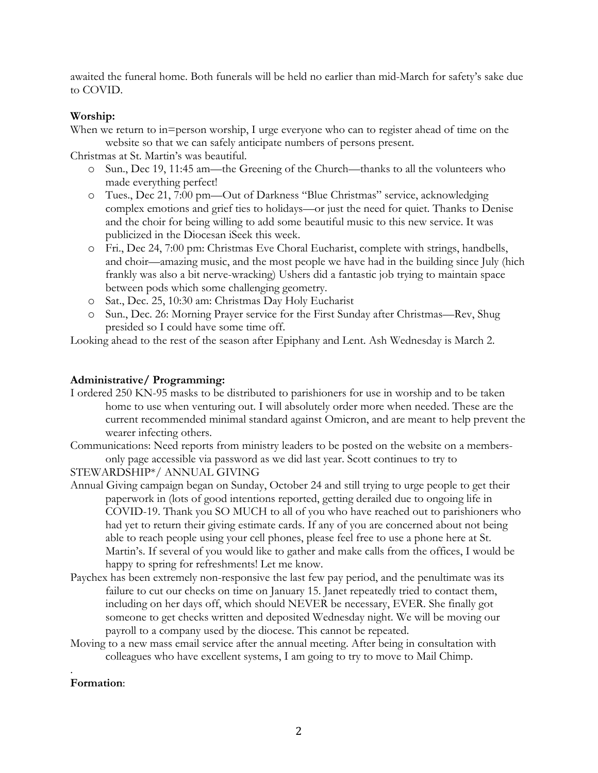awaited the funeral home. Both funerals will be held no earlier than mid-March for safety's sake due to COVID.

# **Worship:**

When we return to in=person worship, I urge everyone who can to register ahead of time on the website so that we can safely anticipate numbers of persons present.

Christmas at St. Martin's was beautiful.

- o Sun., Dec 19, 11:45 am—the Greening of the Church—thanks to all the volunteers who made everything perfect!
- o Tues., Dec 21, 7:00 pm—Out of Darkness "Blue Christmas" service, acknowledging complex emotions and grief ties to holidays—or just the need for quiet. Thanks to Denise and the choir for being willing to add some beautiful music to this new service. It was publicized in the Diocesan iSeek this week.
- o Fri., Dec 24, 7:00 pm: Christmas Eve Choral Eucharist, complete with strings, handbells, and choir—amazing music, and the most people we have had in the building since July (hich frankly was also a bit nerve-wracking) Ushers did a fantastic job trying to maintain space between pods which some challenging geometry.
- o Sat., Dec. 25, 10:30 am: Christmas Day Holy Eucharist
- o Sun., Dec. 26: Morning Prayer service for the First Sunday after Christmas—Rev, Shug presided so I could have some time off.

Looking ahead to the rest of the season after Epiphany and Lent. Ash Wednesday is March 2.

# **Administrative/ Programming:**

I ordered 250 KN-95 masks to be distributed to parishioners for use in worship and to be taken home to use when venturing out. I will absolutely order more when needed. These are the current recommended minimal standard against Omicron, and are meant to help prevent the wearer infecting others.

Communications: Need reports from ministry leaders to be posted on the website on a membersonly page accessible via password as we did last year. Scott continues to try to

STEWARDSHIP\*/ ANNUAL GIVING

- Annual Giving campaign began on Sunday, October 24 and still trying to urge people to get their paperwork in (lots of good intentions reported, getting derailed due to ongoing life in COVID-19. Thank you SO MUCH to all of you who have reached out to parishioners who had yet to return their giving estimate cards. If any of you are concerned about not being able to reach people using your cell phones, please feel free to use a phone here at St. Martin's. If several of you would like to gather and make calls from the offices, I would be happy to spring for refreshments! Let me know.
- Paychex has been extremely non-responsive the last few pay period, and the penultimate was its failure to cut our checks on time on January 15. Janet repeatedly tried to contact them, including on her days off, which should NEVER be necessary, EVER. She finally got someone to get checks written and deposited Wednesday night. We will be moving our payroll to a company used by the diocese. This cannot be repeated.
- Moving to a new mass email service after the annual meeting. After being in consultation with colleagues who have excellent systems, I am going to try to move to Mail Chimp.

### . **Formation**: